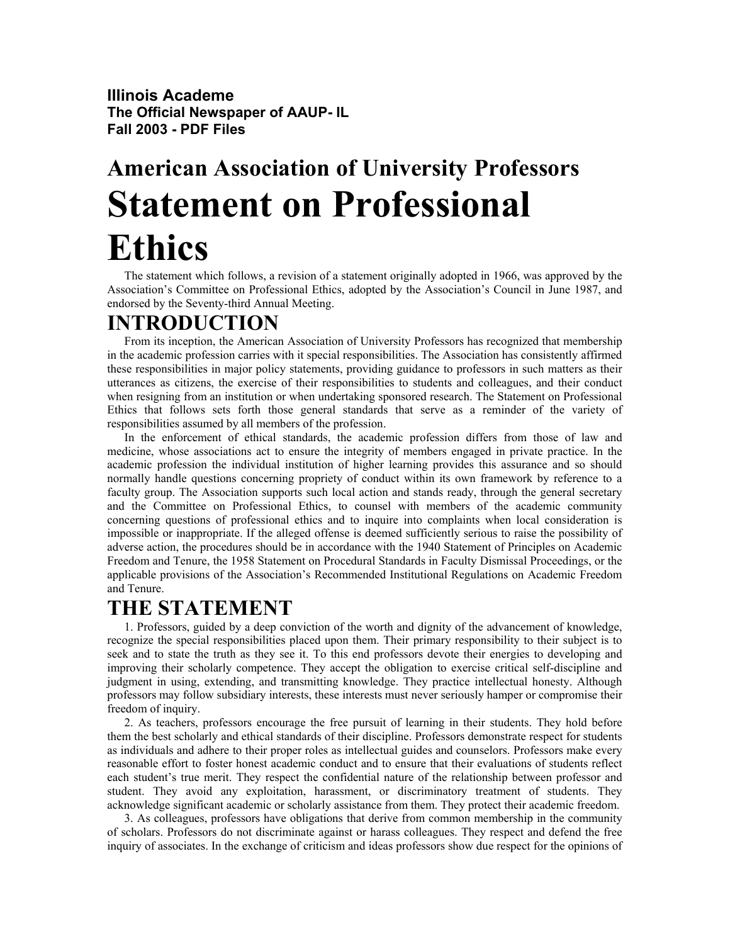**Illinois Academe The Official Newspaper of AAUP- IL Fall 2003 - PDF Files** 

## **American Association of University Professors Statement on Professional Ethics**

The statement which follows, a revision of a statement originally adopted in 1966, was approved by the Association's Committee on Professional Ethics, adopted by the Association's Council in June 1987, and endorsed by the Seventy-third Annual Meeting.

## **INTRODUCTION**

From its inception, the American Association of University Professors has recognized that membership in the academic profession carries with it special responsibilities. The Association has consistently affirmed these responsibilities in major policy statements, providing guidance to professors in such matters as their utterances as citizens, the exercise of their responsibilities to students and colleagues, and their conduct when resigning from an institution or when undertaking sponsored research. The Statement on Professional Ethics that follows sets forth those general standards that serve as a reminder of the variety of responsibilities assumed by all members of the profession.

In the enforcement of ethical standards, the academic profession differs from those of law and medicine, whose associations act to ensure the integrity of members engaged in private practice. In the academic profession the individual institution of higher learning provides this assurance and so should normally handle questions concerning propriety of conduct within its own framework by reference to a faculty group. The Association supports such local action and stands ready, through the general secretary and the Committee on Professional Ethics, to counsel with members of the academic community concerning questions of professional ethics and to inquire into complaints when local consideration is impossible or inappropriate. If the alleged offense is deemed sufficiently serious to raise the possibility of adverse action, the procedures should be in accordance with the 1940 Statement of Principles on Academic Freedom and Tenure, the 1958 Statement on Procedural Standards in Faculty Dismissal Proceedings, or the applicable provisions of the Association's Recommended Institutional Regulations on Academic Freedom and Tenure.

## **THE STATEMENT**

1. Professors, guided by a deep conviction of the worth and dignity of the advancement of knowledge, recognize the special responsibilities placed upon them. Their primary responsibility to their subject is to seek and to state the truth as they see it. To this end professors devote their energies to developing and improving their scholarly competence. They accept the obligation to exercise critical self-discipline and judgment in using, extending, and transmitting knowledge. They practice intellectual honesty. Although professors may follow subsidiary interests, these interests must never seriously hamper or compromise their freedom of inquiry.

2. As teachers, professors encourage the free pursuit of learning in their students. They hold before them the best scholarly and ethical standards of their discipline. Professors demonstrate respect for students as individuals and adhere to their proper roles as intellectual guides and counselors. Professors make every reasonable effort to foster honest academic conduct and to ensure that their evaluations of students reflect each student's true merit. They respect the confidential nature of the relationship between professor and student. They avoid any exploitation, harassment, or discriminatory treatment of students. They acknowledge significant academic or scholarly assistance from them. They protect their academic freedom.

3. As colleagues, professors have obligations that derive from common membership in the community of scholars. Professors do not discriminate against or harass colleagues. They respect and defend the free inquiry of associates. In the exchange of criticism and ideas professors show due respect for the opinions of